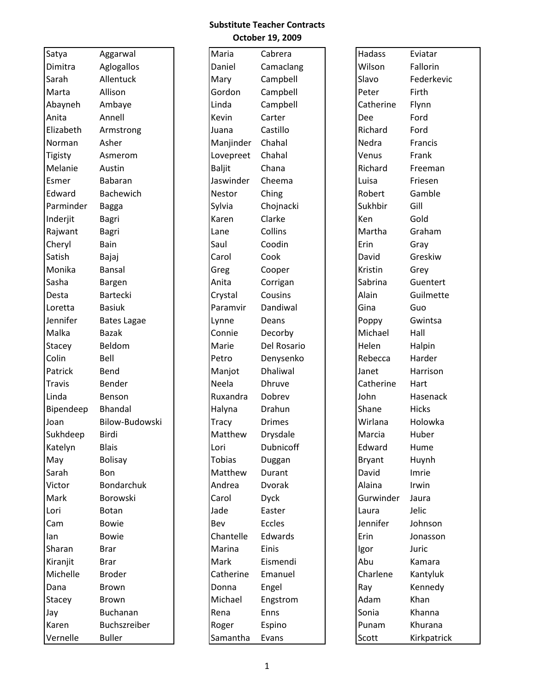## **Substitute Teacher Contracts October 19, 2009**

| Satya          | Aggarwal           | Maria         | Cabrera       | Hadass        | Eviatar      |
|----------------|--------------------|---------------|---------------|---------------|--------------|
| Dimitra        | Aglogallos         | Daniel        | Camaclang     | Wilson        | Fallorin     |
| Sarah          | Allentuck          | Mary          | Campbell      | Slavo         | Federkevic   |
| Marta          | Allison            | Gordon        | Campbell      | Peter         | Firth        |
| Abayneh        | Ambaye             | Linda         | Campbell      | Catherine     | Flynn        |
| Anita          | Annell             | Kevin         | Carter        | Dee           | Ford         |
| Elizabeth      | Armstrong          | Juana         | Castillo      | Richard       | Ford         |
| Norman         | Asher              | Manjinder     | Chahal        | Nedra         | Francis      |
| <b>Tigisty</b> | Asmerom            | Lovepreet     | Chahal        | Venus         | Frank        |
| Melanie        | Austin             | <b>Baljit</b> | Chana         | Richard       | Freeman      |
| Esmer          | Babaran            | Jaswinder     | Cheema        | Luisa         | Friesen      |
| Edward         | Bachewich          | Nestor        | Ching         | Robert        | Gamble       |
| Parminder      | <b>Bagga</b>       | Sylvia        | Chojnacki     | Sukhbir       | Gill         |
| Inderjit       | Bagri              | Karen         | Clarke        | Ken           | Gold         |
| Rajwant        | Bagri              | Lane          | Collins       | Martha        | Graham       |
| Cheryl         | Bain               | Saul          | Coodin        | Erin          | Gray         |
| Satish         | Bajaj              | Carol         | Cook          | David         | Greskiw      |
| Monika         | Bansal             | Greg          | Cooper        | Kristin       | Grey         |
| Sasha          | Bargen             | Anita         | Corrigan      | Sabrina       | Guentert     |
| Desta          | <b>Bartecki</b>    | Crystal       | Cousins       | Alain         | Guilmette    |
| Loretta        | <b>Basiuk</b>      | Paramvir      | Dandiwal      | Gina          | Guo          |
| Jennifer       | <b>Bates Lagae</b> | Lynne         | Deans         | Poppy         | Gwintsa      |
| Malka          | <b>Bazak</b>       | Connie        | Decorby       | Michael       | Hall         |
| Stacey         | Beldom             | Marie         | Del Rosario   | Helen         | Halpin       |
| Colin          | Bell               | Petro         | Denysenko     | Rebecca       | Harder       |
| Patrick        | Bend               | Manjot        | Dhaliwal      | Janet         | Harrison     |
| Travis         | Bender             | Neela         | <b>Dhruve</b> | Catherine     | Hart         |
| Linda          | Benson             | Ruxandra      | Dobrev        | John          | Hasenack     |
| Bipendeep      | Bhandal            | Halyna        | Drahun        | Shane         | <b>Hicks</b> |
| Joan           | Bilow-Budowski     | Tracy         | <b>Drimes</b> | Wirlana       | Holowka      |
| Sukhdeep       | Birdi              | Matthew       | Drysdale      | Marcia        | Huber        |
| Katelyn        | <b>Blais</b>       | Lori          | Dubnicoff     | Edward        | Hume         |
| May            | <b>Bolisay</b>     | <b>Tobias</b> | Duggan        | <b>Bryant</b> | Huynh        |
| Sarah          | Bon                | Matthew       | Durant        | David         | Imrie        |
| Victor         | Bondarchuk         | Andrea        | <b>Dvorak</b> | Alaina        | Irwin        |
| Mark           | Borowski           | Carol         | <b>Dyck</b>   | Gurwinder     | Jaura        |
| Lori           | Botan              | Jade          | Easter        | Laura         | Jelic        |
| Cam            | <b>Bowie</b>       | Bev           | Eccles        | Jennifer      | Johnson      |
| lan            | <b>Bowie</b>       | Chantelle     | Edwards       | Erin          | Jonasson     |
| Sharan         | <b>Brar</b>        | Marina        | Einis         | Igor          | Juric        |
| Kiranjit       | <b>Brar</b>        | Mark          | Eismendi      | Abu           | Kamara       |
| Michelle       | <b>Broder</b>      | Catherine     | Emanuel       | Charlene      | Kantyluk     |
| Dana           | Brown              | Donna         | Engel         | Ray           | Kennedy      |
| Stacey         | <b>Brown</b>       | Michael       | Engstrom      | Adam          | Khan         |
| Jay            | Buchanan           | Rena          | Enns          | Sonia         | Khanna       |
| Karen          | Buchszreiber       | Roger         | Espino        | Punam         | Khurana      |
| Vernelle       | <b>Buller</b>      | Samantha      | Evans         | Scott         | Kirkpatrick  |

| Satya          | Aggarwal           | Maria         | Cabrera       | Hadass        | Eviatar      |
|----------------|--------------------|---------------|---------------|---------------|--------------|
| Dimitra        | Aglogallos         | Daniel        | Camaclang     | Wilson        | Fallorin     |
| Sarah          | Allentuck          | Mary          | Campbell      | Slavo         | Federkevic   |
| Marta          | Allison            | Gordon        | Campbell      | Peter         | Firth        |
| Abayneh        | Ambaye             | Linda         | Campbell      | Catherine     | Flynn        |
| Anita          | Annell             | Kevin         | Carter        | Dee           | Ford         |
| Elizabeth      | Armstrong          | Juana         | Castillo      | Richard       | Ford         |
| Norman         | Asher              | Manjinder     | Chahal        | Nedra         | Francis      |
| <b>Tigisty</b> | Asmerom            | Lovepreet     | Chahal        | Venus         | Frank        |
| Melanie        | Austin             | <b>Baljit</b> | Chana         | Richard       | Freeman      |
| Esmer          | Babaran            | Jaswinder     | Cheema        | Luisa         | Friesen      |
| Edward         | Bachewich          | <b>Nestor</b> | Ching         | Robert        | Gamble       |
| Parminder      | <b>Bagga</b>       | Sylvia        | Chojnacki     | Sukhbir       | Gill         |
| Inderjit       | Bagri              | Karen         | Clarke        | Ken           | Gold         |
| Rajwant        | Bagri              | Lane          | Collins       | Martha        | Graham       |
| Cheryl         | Bain               | Saul          | Coodin        | Erin          | Gray         |
| Satish         | Bajaj              | Carol         | Cook          | David         | Greskiw      |
| Monika         | Bansal             | Greg          | Cooper        | Kristin       | Grey         |
| Sasha          | Bargen             | Anita         | Corrigan      | Sabrina       | Guentert     |
| Desta          | Bartecki           | Crystal       | Cousins       | Alain         | Guilmette    |
| Loretta        | <b>Basiuk</b>      | Paramvir      | Dandiwal      | Gina          | Guo          |
| Jennifer       | <b>Bates Lagae</b> | Lynne         | Deans         | Poppy         | Gwintsa      |
| Malka          | <b>Bazak</b>       | Connie        | Decorby       | Michael       | Hall         |
| Stacey         | Beldom             | Marie         | Del Rosario   | Helen         | Halpin       |
| Colin          | Bell               | Petro         | Denysenko     | Rebecca       | Harder       |
| Patrick        | Bend               | Manjot        | Dhaliwal      | Janet         | Harrison     |
| <b>Travis</b>  | Bender             | Neela         | <b>Dhruve</b> | Catherine     | Hart         |
| Linda          | Benson             | Ruxandra      | Dobrev        | John          | Hasenack     |
| Bipendeep      | Bhandal            | Halyna        | Drahun        | Shane         | <b>Hicks</b> |
| Joan           | Bilow-Budowski     | Tracy         | <b>Drimes</b> | Wirlana       | Holowka      |
| Sukhdeep       | Birdi              | Matthew       | Drysdale      | Marcia        | Huber        |
| Katelyn        | <b>Blais</b>       | Lori          | Dubnicoff     | Edward        | Hume         |
| May            | <b>Bolisay</b>     | <b>Tobias</b> | Duggan        | <b>Bryant</b> | Huynh        |
| Sarah          | Bon                | Matthew       | Durant        | David         | Imrie        |
| Victor         | <b>Bondarchuk</b>  | Andrea        | <b>Dvorak</b> | Alaina        | Irwin        |
| Mark           | Borowski           | Carol         | <b>Dyck</b>   | Gurwinder     | Jaura        |
| Lori           | Botan              | Jade          | Easter        | Laura         | Jelic        |
| Cam            | <b>Bowie</b>       | Bev           | Eccles        | Jennifer      | Johnson      |
| lan            | <b>Bowie</b>       | Chantelle     | Edwards       | Erin          | Jonasson     |
| Sharan         | <b>Brar</b>        | Marina        | Einis         | Igor          | Juric        |
| Kiranjit       | <b>Brar</b>        | Mark          | Eismendi      | Abu           | Kamara       |
| Michelle       | <b>Broder</b>      | Catherine     | Emanuel       | Charlene      | Kantyluk     |
| Dana           | Brown              | Donna         | Engel         | Ray           | Kennedy      |
| Stacey         | Brown              | Michael       | Engstrom      | Adam          | Khan         |
| Jay            | <b>Buchanan</b>    | Rena          | Enns          | Sonia         | Khanna       |
| Karen          | Buchszreiber       | Roger         | Espino        | Punam         | Khurana      |
| Vernelle       | <b>Buller</b>      | Samantha      | Evans         | Scott         | Kirkpatrick  |
|                |                    |               |               |               |              |

| Hadass        | Eviatar        |
|---------------|----------------|
| Wilson        | Fallorin       |
| Slavo         | Federkevic     |
| Peter         | Firth          |
| Catherine     | Flynn          |
| Dee           | Ford           |
| Richard       | Ford           |
| Nedra         | <b>Francis</b> |
| Venus         | Frank          |
| Richard       | Freeman        |
| Luisa         | Friesen        |
| Robert        | Gamble         |
| Sukhbir       | Gill           |
| Ken           | Gold           |
| Martha        | Graham         |
| Erin          | Gray           |
| David         | Greskiw        |
| Kristin       | Grey           |
| Sabrina       | Guentert       |
| Alain         | Guilmette      |
| Gina          | Guo            |
| Poppy         | Gwintsa        |
| Michael       | Hall           |
| Helen         | Halpin         |
| Rebecca       | Harder         |
| Janet         | Harrison       |
| Catherine     | Hart           |
| John          | Hasenack       |
| Shane         | <b>Hicks</b>   |
| Wirlana       | Holowka        |
| Marcia        | Huber          |
| Edward        | Hume           |
| <b>Bryant</b> | Huynh          |
| David         | Imrie          |
| Alaina        | Irwin          |
| Gurwinder     | Jaura          |
| Laura         | Jelic          |
| Jennifer      | Johnson        |
| Frin          | Jonasson       |
| lgor          | Juric          |
| Abu           | Kamara         |
| Charlene      | Kantyluk       |
| Ray           | Kennedy        |
| Adam          | Khan           |
| Sonia         | Khanna         |
| Punam         | Khurana        |
| Scott         | Kirkpatrick    |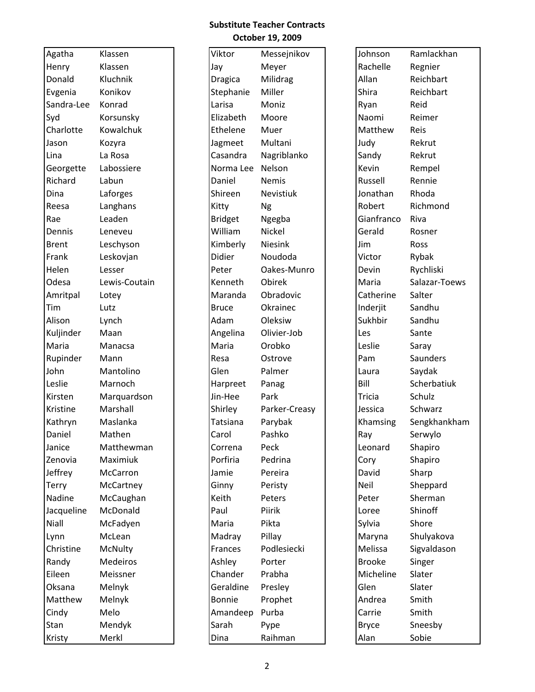## **Substitute Teacher Contracts October 19, 2009**

| Agatha       | Klassen       | Viktor         | Messejnikov   | Johnson       | Ramla  |
|--------------|---------------|----------------|---------------|---------------|--------|
| Henry        | Klassen       | Jay            | Meyer         | Rachelle      | Regni  |
| Donald       | Kluchnik      | Dragica        | Milidrag      | Allan         | Reich  |
| Evgenia      | Konikov       | Stephanie      | Miller        | Shira         | Reich  |
| Sandra-Lee   | Konrad        | Larisa         | Moniz         | Ryan          | Reid   |
| Syd          | Korsunsky     | Elizabeth      | Moore         | Naomi         | Reim   |
| Charlotte    | Kowalchuk     | Ethelene       | Muer          | Matthew       | Reis   |
| Jason        | Kozyra        | Jagmeet        | Multani       | Judy          | Rekru  |
| Lina         | La Rosa       | Casandra       | Nagriblanko   | Sandy         | Rekru  |
| Georgette    | Labossiere    | Norma Lee      | Nelson        | Kevin         | Remp   |
| Richard      | Labun         | Daniel         | <b>Nemis</b>  | Russell       | Renni  |
| Dina         | Laforges      | Shireen        | Nevistiuk     | Jonathan      | Rhod   |
| Reesa        | Langhans      | Kitty          | <b>Ng</b>     | Robert        | Richn  |
| Rae          | Leaden        | <b>Bridget</b> | Ngegba        | Gianfranco    | Riva   |
| Dennis       | Leneveu       | William        | Nickel        | Gerald        | Rosne  |
| <b>Brent</b> | Leschyson     | Kimberly       | Niesink       | Jim           | Ross   |
| Frank        | Leskovjan     | <b>Didier</b>  | Noudoda       | Victor        | Rybal  |
| Helen        | Lesser        | Peter          | Oakes-Munro   | Devin         | Rychl  |
| Odesa        | Lewis-Coutain | Kenneth        | Obirek        | Maria         | Salaza |
| Amritpal     | Lotey         | Maranda        | Obradovic     | Catherine     | Salter |
| Tim          | Lutz          | <b>Bruce</b>   | Okrainec      | Inderjit      | Sandh  |
| Alison       | Lynch         | Adam           | Oleksiw       | Sukhbir       | Sandh  |
| Kuljinder    | Maan          | Angelina       | Olivier-Job   | Les           | Sante  |
| Maria        | Manacsa       | Maria          | Orobko        | Leslie        | Saray  |
| Rupinder     | Mann          | Resa           | Ostrove       | Pam           | Sauno  |
| John         | Mantolino     | Glen           | Palmer        | Laura         | Sayda  |
| Leslie       | Marnoch       | Harpreet       | Panag         | Bill          | Scher  |
| Kirsten      | Marquardson   | Jin-Hee        | Park          | Tricia        | Schult |
| Kristine     | Marshall      | Shirley        | Parker-Creasy | Jessica       | Schwa  |
| Kathryn      | Maslanka      | Tatsiana       | Parybak       | Khamsing      | Sengk  |
| Daniel       | Mathen        | Carol          | Pashko        | Ray           | Serwy  |
| Janice       | Matthewman    | Correna        | Peck          | Leonard       | Shapi  |
| Zenovia      | Maximiuk      | Porfiria       | Pedrina       | Cory          | Shapi  |
| Jeffrey      | McCarron      | Jamie          | Pereira       | David         | Sharp  |
| Terry        | McCartney     | Ginny          | Peristy       | Neil          | Shepp  |
| Nadine       | McCaughan     | Keith          | Peters        | Peter         | Shern  |
| Jacqueline   | McDonald      | Paul           | Piirik        | Loree         | Shino  |
| Niall        | McFadyen      | Maria          | Pikta         | Sylvia        | Shore  |
| Lynn         | McLean        | Madray         | Pillay        | Maryna        | Shuly  |
| Christine    | McNulty       | Frances        | Podlesiecki   | Melissa       | Sigval |
| Randy        | Medeiros      | Ashley         | Porter        | <b>Brooke</b> | Singe  |
| Eileen       | Meissner      | Chander        | Prabha        | Micheline     | Slater |
| Oksana       | Melnyk        | Geraldine      | Presley       | Glen          | Slater |
| Matthew      | Melnyk        | <b>Bonnie</b>  | Prophet       | Andrea        | Smith  |
| Cindy        | Melo          | Amandeep       | Purba         | Carrie        | Smith  |
| Stan         | Mendyk        | Sarah          | Pype          | <b>Bryce</b>  | Snees  |
| Kristy       | Merkl         | Dina           | Raihman       | Alan          | Sobie  |

| Agatha       | Klassen       | Viktor         | Messejnikov   | Johnson       | Ramlackhan    |
|--------------|---------------|----------------|---------------|---------------|---------------|
| Henry        | Klassen       | Jay            | Meyer         | Rachelle      | Regnier       |
| Donald       | Kluchnik      | <b>Dragica</b> | Milidrag      | Allan         | Reichbart     |
| Evgenia      | Konikov       | Stephanie      | Miller        | Shira         | Reichbart     |
| Sandra-Lee   | Konrad        | Larisa         | Moniz         | Ryan          | Reid          |
| Syd          | Korsunsky     | Elizabeth      | Moore         | Naomi         | Reimer        |
| Charlotte    | Kowalchuk     | Ethelene       | Muer          | Matthew       | Reis          |
| Jason        | Kozyra        | Jagmeet        | Multani       | Judy          | Rekrut        |
| Lina         | La Rosa       | Casandra       | Nagriblanko   | Sandy         | Rekrut        |
| Georgette    | Labossiere    | Norma Lee      | Nelson        | Kevin         | Rempel        |
| Richard      | Labun         | Daniel         | <b>Nemis</b>  | Russell       | Rennie        |
| Dina         | Laforges      | Shireen        | Nevistiuk     | Jonathan      | Rhoda         |
| Reesa        | Langhans      | Kitty          | <b>Ng</b>     | Robert        | Richmond      |
| Rae          | Leaden        | <b>Bridget</b> | Ngegba        | Gianfranco    | Riva          |
| Dennis       | Leneveu       | William        | Nickel        | Gerald        | Rosner        |
| <b>Brent</b> | Leschyson     | Kimberly       | Niesink       | Jim           | Ross          |
| Frank        | Leskovjan     | Didier         | Noudoda       | Victor        | Rybak         |
| Helen        | Lesser        | Peter          | Oakes-Munro   | Devin         | Rychliski     |
| Odesa        | Lewis-Coutain | Kenneth        | Obirek        | Maria         | Salazar-Toews |
| Amritpal     | Lotey         | Maranda        | Obradovic     | Catherine     | Salter        |
| Tim          | Lutz          | <b>Bruce</b>   | Okrainec      | Inderjit      | Sandhu        |
| Alison       | Lynch         | Adam           | Oleksiw       | Sukhbir       | Sandhu        |
| Kuljinder    | Maan          | Angelina       | Olivier-Job   | Les           | Sante         |
| Maria        | Manacsa       | Maria          | Orobko        | Leslie        | Saray         |
| Rupinder     | Mann          | Resa           | Ostrove       | Pam           | Saunders      |
| John         | Mantolino     | Glen           | Palmer        | Laura         | Saydak        |
| Leslie       | Marnoch       | Harpreet       | Panag         | Bill          | Scherbatiuk   |
| Kirsten      | Marquardson   | Jin-Hee        | Park          | <b>Tricia</b> | Schulz        |
| Kristine     | Marshall      | Shirley        | Parker-Creasy | Jessica       | Schwarz       |
| Kathryn      | Maslanka      | Tatsiana       | Parybak       | Khamsing      | Sengkhankham  |
| Daniel       | Mathen        | Carol          | Pashko        | Ray           | Serwylo       |
| Janice       | Matthewman    | Correna        | Peck          | Leonard       | Shapiro       |
| Zenovia      | Maximiuk      | Porfiria       | Pedrina       | Cory          | Shapiro       |
| Jeffrey      | McCarron      | Jamie          | Pereira       | David         | Sharp         |
| Terry        | McCartney     | Ginny          | Peristy       | Neil          | Sheppard      |
| Nadine       | McCaughan     | Keith          | Peters        | Peter         | Sherman       |
| Jacqueline   | McDonald      | Paul           | Piirik        | Loree         | Shinoff       |
| Niall        | McFadyen      | Maria          | Pikta         | Sylvia        | Shore         |
| Lynn         | McLean        | Madray         | Pillay        | Maryna        | Shulyakova    |
| Christine    | McNulty       | Frances        | Podlesiecki   | Melissa       | Sigvaldason   |
| Randy        | Medeiros      | Ashley         | Porter        | <b>Brooke</b> | Singer        |
| Eileen       | Meissner      | Chander        | Prabha        | Micheline     | Slater        |
| Oksana       | Melnyk        | Geraldine      | Presley       | Glen          | Slater        |
| Matthew      | Melnyk        | <b>Bonnie</b>  | Prophet       | Andrea        | Smith         |
| Cindy        | Melo          | Amandeep       | Purba         | Carrie        | Smith         |
| Stan         | Mendyk        | Sarah          | Pype          | <b>Bryce</b>  | Sneesby       |
| Kristy       | Merkl         | Dina           | Raihman       | Alan          | Sobie         |

| Johnson    | Ramlackhan    |
|------------|---------------|
| Rachelle   | Regnier       |
| Allan      | Reichbart     |
| Shira      | Reichbart     |
| Ryan       | Reid          |
| Naomi      | Reimer        |
| Matthew    | Reis          |
| Judy       | Rekrut        |
| Sandy      | Rekrut        |
| Kevin      | Rempel        |
| Russell    | Rennie        |
| Jonathan   | Rhoda         |
| Robert     | Richmond      |
| Gianfranco | Riva          |
| Gerald     | Rosner        |
| Jim        | Ross          |
| Victor     | Rybak         |
| Devin      | Rychliski     |
| Maria      | Salazar-Toews |
| Catherine  | Salter        |
| Inderjit   | Sandhu        |
| Sukhbir    | Sandhu        |
| Les        | Sante         |
| Leslie     | Saray         |
| Pam        | Saunders      |
| Laura      | Saydak        |
| Bill       | Scherbatiuk   |
| Tricia     | Schulz        |
| Jessica    | Schwarz       |
| Khamsing   | Sengkhankham  |
| Ray        | Serwylo       |
| Leonard    | Shapiro       |
| Cory       | Shapiro       |
| David      | Sharp         |
| Neil       | Sheppard      |
| Peter      | Sherman       |
| Loree      | Shinoff       |
| Sylvia     | Shore         |
| Maryna     | Shulyakova    |
| Melissa    | Sigvaldason   |
| Brooke     | Singer        |
| Micheline  | Slater        |
| Glen       | Slater        |
| Andrea     | Smith         |
| Carrie     | Smith         |
| Bryce      | Sneesby       |
| Alan       | Sobie         |
|            |               |